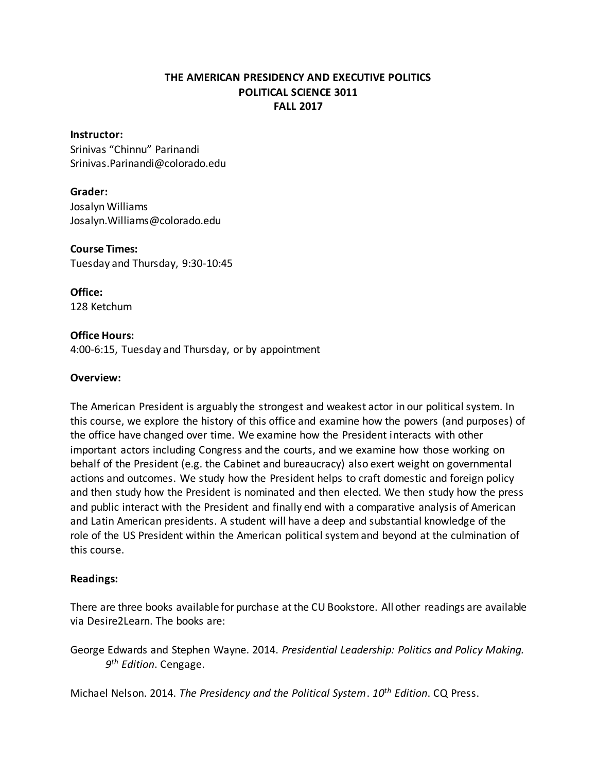# **THE AMERICAN PRESIDENCY AND EXECUTIVE POLITICS POLITICAL SCIENCE 3011 FALL 2017**

#### **Instructor:**

Srinivas "Chinnu" Parinandi Srinivas.Parinandi@colorado.edu

# **Grader:**

Josalyn Williams Josalyn.Williams@colorado.edu

#### **Course Times:** Tuesday and Thursday, 9:30-10:45

**Office:** 128 Ketchum

### **Office Hours:**

4:00-6:15, Tuesday and Thursday, or by appointment

# **Overview:**

The American President is arguably the strongest and weakest actor in our political system. In this course, we explore the history of this office and examine how the powers (and purposes) of the office have changed over time. We examine how the President interacts with other important actors including Congress and the courts, and we examine how those working on behalf of the President (e.g. the Cabinet and bureaucracy) also exert weight on governmental actions and outcomes. We study how the President helps to craft domestic and foreign policy and then study how the President is nominated and then elected. We then study how the press and public interact with the President and finally end with a comparative analysis of American and Latin American presidents. A student will have a deep and substantial knowledge of the role of the US President within the American political system and beyond at the culmination of this course.

# **Readings:**

There are three books available for purchase at the CU Bookstore. All other readings are available via Desire2Learn. The books are:

George Edwards and Stephen Wayne. 2014. *Presidential Leadership: Politics and Policy Making. 9 th Edition*. Cengage.

Michael Nelson. 2014. *The Presidency and the Political System*. *10th Edition*. CQ Press.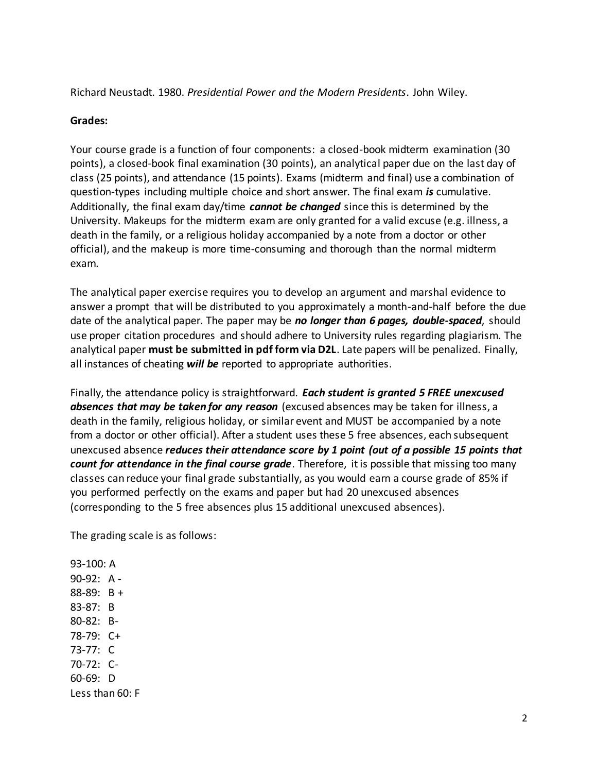Richard Neustadt. 1980. *Presidential Power and the Modern Presidents*. John Wiley.

# **Grades:**

Your course grade is a function of four components: a closed-book midterm examination (30 points), a closed-book final examination (30 points), an analytical paper due on the last day of class (25 points), and attendance (15 points). Exams (midterm and final) use a combination of question-types including multiple choice and short answer. The final exam *is* cumulative. Additionally, the final exam day/time *cannot be changed* since this is determined by the University. Makeups for the midterm exam are only granted for a valid excuse (e.g. illness, a death in the family, or a religious holiday accompanied by a note from a doctor or other official), and the makeup is more time-consuming and thorough than the normal midterm exam.

The analytical paper exercise requires you to develop an argument and marshal evidence to answer a prompt that will be distributed to you approximately a month-and-half before the due date of the analytical paper. The paper may be *no longer than 6 pages, double-spaced*, should use proper citation procedures and should adhere to University rules regarding plagiarism. The analytical paper **must be submitted in pdf form via D2L**. Late papers will be penalized. Finally, all instances of cheating *will be* reported to appropriate authorities.

Finally, the attendance policy is straightforward. *Each student is granted 5 FREE unexcused absences that may be taken for any reason* (excused absences may be taken for illness, a death in the family, religious holiday, or similar event and MUST be accompanied by a note from a doctor or other official). After a student uses these 5 free absences, each subsequent unexcused absence *reduces their attendance score by 1 point (out of a possible 15 points that count for attendance in the final course grade*. Therefore, it is possible that missing too many classes can reduce your final grade substantially, as you would earn a course grade of 85% if you performed perfectly on the exams and paper but had 20 unexcused absences (corresponding to the 5 free absences plus 15 additional unexcused absences).

The grading scale is as follows:

93-100: A 90-92: A - 88-89: B + 83-87: B 80-82: B-78-79: C+ 73-77: C 70-72: C-60-69: D Less than 60: F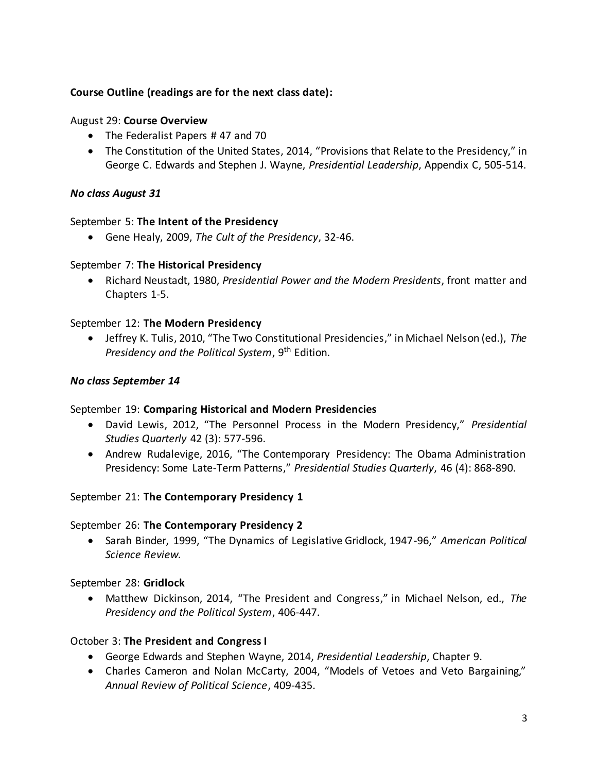# **Course Outline (readings are for the next class date):**

### August 29: **Course Overview**

- The Federalist Papers #47 and 70
- The Constitution of the United States, 2014, "Provisions that Relate to the Presidency," in George C. Edwards and Stephen J. Wayne, *Presidential Leadership*, Appendix C, 505-514.

# *No class August 31*

# September 5: **The Intent of the Presidency**

Gene Healy, 2009, *The Cult of the Presidency*, 32-46.

### September 7: **The Historical Presidency**

 Richard Neustadt, 1980, *Presidential Power and the Modern Presidents*, front matter and Chapters 1-5.

### September 12: **The Modern Presidency**

 Jeffrey K. Tulis, 2010, "The Two Constitutional Presidencies," in Michael Nelson (ed.), *The Presidency and the Political System*, 9th Edition.

### *No class September 14*

#### September 19: **Comparing Historical and Modern Presidencies**

- David Lewis, 2012, "The Personnel Process in the Modern Presidency," *Presidential Studies Quarterly* 42 (3): 577-596.
- Andrew Rudalevige, 2016, "The Contemporary Presidency: The Obama Administration Presidency: Some Late-Term Patterns," *Presidential Studies Quarterly*, 46 (4): 868-890.

# September 21: **The Contemporary Presidency 1**

#### September 26: **The Contemporary Presidency 2**

 Sarah Binder, 1999, "The Dynamics of Legislative Gridlock, 1947-96," *American Political Science Review.*

#### September 28: **Gridlock**

 Matthew Dickinson, 2014, "The President and Congress," in Michael Nelson, ed., *The Presidency and the Political System*, 406-447.

# October 3: **The President and Congress I**

- George Edwards and Stephen Wayne, 2014, *Presidential Leadership*, Chapter 9.
- Charles Cameron and Nolan McCarty, 2004, "Models of Vetoes and Veto Bargaining," *Annual Review of Political Science*, 409-435.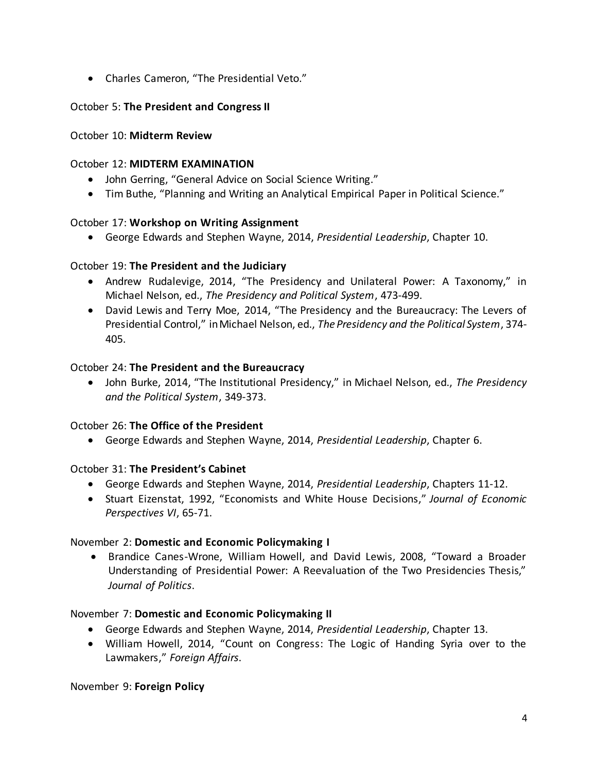Charles Cameron, "The Presidential Veto."

# October 5: **The President and Congress II**

# October 10: **Midterm Review**

### October 12: **MIDTERM EXAMINATION**

- John Gerring, "General Advice on Social Science Writing."
- Tim Buthe, "Planning and Writing an Analytical Empirical Paper in Political Science."

### October 17: **Workshop on Writing Assignment**

George Edwards and Stephen Wayne, 2014, *Presidential Leadership*, Chapter 10.

### October 19: **The President and the Judiciary**

- Andrew Rudalevige, 2014, "The Presidency and Unilateral Power: A Taxonomy," in Michael Nelson, ed., *The Presidency and Political System*, 473-499.
- David Lewis and Terry Moe, 2014, "The Presidency and the Bureaucracy: The Levers of Presidential Control," in Michael Nelson, ed., *The Presidency and the Political System*, 374- 405.

### October 24: **The President and the Bureaucracy**

 John Burke, 2014, "The Institutional Presidency," in Michael Nelson, ed., *The Presidency and the Political System*, 349-373.

# October 26: **The Office of the President**

George Edwards and Stephen Wayne, 2014, *Presidential Leadership*, Chapter 6.

# October 31: **The President's Cabinet**

- George Edwards and Stephen Wayne, 2014, *Presidential Leadership*, Chapters 11-12.
- Stuart Eizenstat, 1992, "Economists and White House Decisions," *Journal of Economic Perspectives VI*, 65-71.

#### November 2: **Domestic and Economic Policymaking I**

 Brandice Canes-Wrone, William Howell, and David Lewis, 2008, "Toward a Broader Understanding of Presidential Power: A Reevaluation of the Two Presidencies Thesis," *Journal of Politics*.

#### November 7: **Domestic and Economic Policymaking II**

- George Edwards and Stephen Wayne, 2014, *Presidential Leadership*, Chapter 13.
- William Howell, 2014, "Count on Congress: The Logic of Handing Syria over to the Lawmakers," *Foreign Affairs*.

#### November 9: **Foreign Policy**